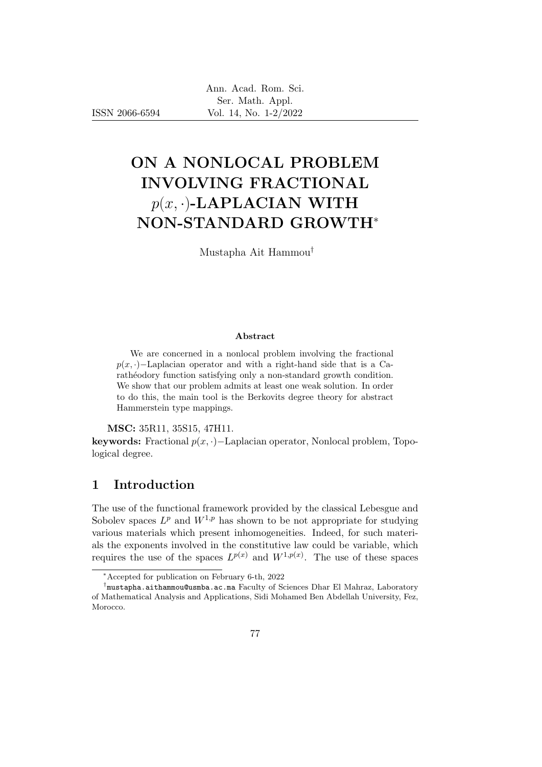ISSN 2066-6594

# ON A NONLOCAL PROBLEM INVOLVING FRACTIONAL  $p(x, \cdot)$ -LAPLACIAN WITH NON-STANDARD GROWTH<sup>∗</sup>

Mustapha Ait Hammou†

#### Abstract

We are concerned in a nonlocal problem involving the fractional  $p(x, \cdot)$ −Laplacian operator and with a right-hand side that is a Caratheodory function satisfying only a non-standard growth condition. We show that our problem admits at least one weak solution. In order to do this, the main tool is the Berkovits degree theory for abstract Hammerstein type mappings.

MSC: 35R11, 35S15, 47H11.

keywords: Fractional  $p(x, \cdot)$ −Laplacian operator, Nonlocal problem, Topological degree.

# 1 Introduction

The use of the functional framework provided by the classical Lebesgue and Sobolev spaces  $L^p$  and  $W^{1,p}$  has shown to be not appropriate for studying various materials which present inhomogeneities. Indeed, for such materials the exponents involved in the constitutive law could be variable, which requires the use of the spaces  $L^{p(x)}$  and  $W^{1,p(x)}$ . The use of these spaces

<sup>∗</sup>Accepted for publication on February 6-th, 2022

<sup>†</sup> mustapha.aithammou@usmba.ac.ma Faculty of Sciences Dhar El Mahraz, Laboratory of Mathematical Analysis and Applications, Sidi Mohamed Ben Abdellah University, Fez, Morocco.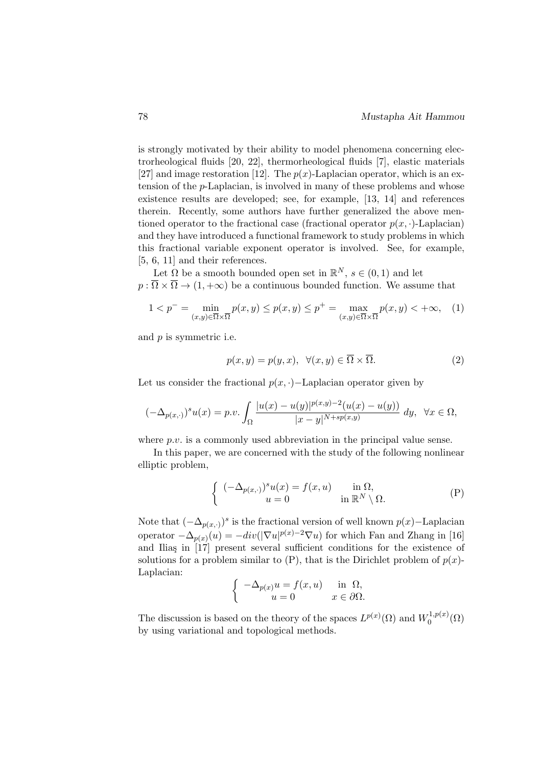is strongly motivated by their ability to model phenomena concerning electrorheological fluids [20, 22], thermorheological fluids [7], elastic materials [27] and image restoration [12]. The  $p(x)$ -Laplacian operator, which is an extension of the p-Laplacian, is involved in many of these problems and whose existence results are developed; see, for example, [13, 14] and references therein. Recently, some authors have further generalized the above mentioned operator to the fractional case (fractional operator  $p(x, \cdot)$ -Laplacian) and they have introduced a functional framework to study problems in which this fractional variable exponent operator is involved. See, for example, [5, 6, 11] and their references.

Let  $\Omega$  be a smooth bounded open set in  $\mathbb{R}^N$ ,  $s \in (0,1)$  and let  $p : \overline{\Omega} \times \overline{\Omega} \to (1, +\infty)$  be a continuous bounded function. We assume that

$$
1 < p^- = \min_{(x,y)\in\overline{\Omega}\times\overline{\Omega}} p(x,y) \le p(x,y) \le p^+ = \max_{(x,y)\in\overline{\Omega}\times\overline{\Omega}} p(x,y) < +\infty,\quad(1)
$$

and p is symmetric i.e.

$$
p(x, y) = p(y, x), \ \forall (x, y) \in \overline{\Omega} \times \overline{\Omega}.
$$
 (2)

Let us consider the fractional  $p(x, \cdot)$ –Laplacian operator given by

$$
(-\Delta_{p(x,\cdot)})^s u(x) = p.v. \int_{\Omega} \frac{|u(x) - u(y)|^{p(x,y)-2}(u(x) - u(y))}{|x - y|^{N + sp(x,y)}} dy, \quad \forall x \in \Omega,
$$

where p.v. is a commonly used abbreviation in the principal value sense.

In this paper, we are concerned with the study of the following nonlinear elliptic problem,

$$
\begin{cases}\n(-\Delta_{p(x,\cdot)})^s u(x) = f(x,u) & \text{in } \Omega, \\
u = 0 & \text{in } \mathbb{R}^N \setminus \Omega.\n\end{cases}
$$
\n(P)

Note that  $(-\Delta_{p(x, \cdot)})^s$  is the fractional version of well known  $p(x)$ –Laplacian operator  $-\Delta_{p(x)}(u) = -div(|\nabla u|^{p(x)-2}\nabla u)$  for which Fan and Zhang in [16] and Iliaş in  $[17]$  present several sufficient conditions for the existence of solutions for a problem similar to  $(P)$ , that is the Dirichlet problem of  $p(x)$ -Laplacian:

$$
\left\{\begin{array}{cc} -\Delta_{p(x)}u=f(x,u) & \text{in }\ \Omega, \\ u=0 & x\in\partial\Omega. \end{array}\right.
$$

The discussion is based on the theory of the spaces  $L^{p(x)}(\Omega)$  and  $W_0^{1,p(x)}$  $\mathcal{O}^{1,p(x)}(\Omega)$ by using variational and topological methods.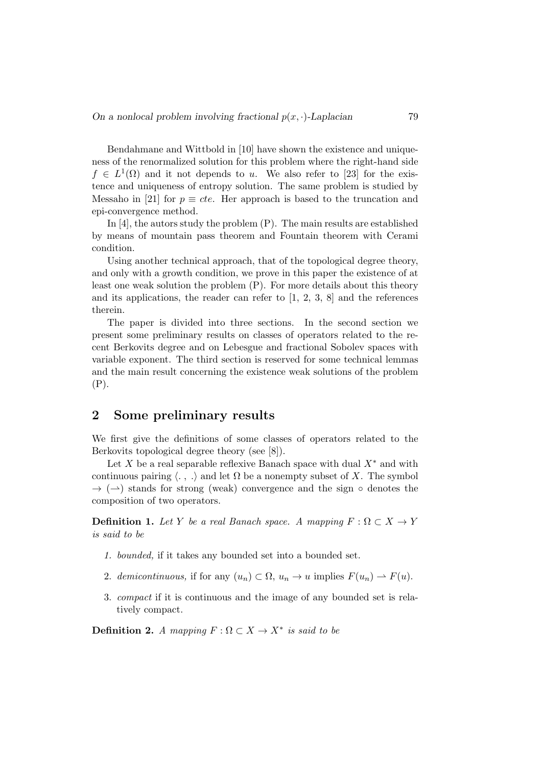Bendahmane and Wittbold in [10] have shown the existence and uniqueness of the renormalized solution for this problem where the right-hand side  $f \in L^1(\Omega)$  and it not depends to u. We also refer to [23] for the existence and uniqueness of entropy solution. The same problem is studied by Messaho in [21] for  $p \equiv cte$ . Her approach is based to the truncation and epi-convergence method.

In [4], the autors study the problem (P). The main results are established by means of mountain pass theorem and Fountain theorem with Cerami condition.

Using another technical approach, that of the topological degree theory, and only with a growth condition, we prove in this paper the existence of at least one weak solution the problem (P). For more details about this theory and its applications, the reader can refer to  $[1, 2, 3, 8]$  and the references therein.

The paper is divided into three sections. In the second section we present some preliminary results on classes of operators related to the recent Berkovits degree and on Lebesgue and fractional Sobolev spaces with variable exponent. The third section is reserved for some technical lemmas and the main result concerning the existence weak solutions of the problem (P).

#### 2 Some preliminary results

We first give the definitions of some classes of operators related to the Berkovits topological degree theory (see [8]).

Let X be a real separable reflexive Banach space with dual  $X^*$  and with continuous pairing  $\langle \cdot, \cdot \rangle$  and let  $\Omega$  be a nonempty subset of X. The symbol  $\rightarrow$  ( $\rightarrow$ ) stands for strong (weak) convergence and the sign  $\circ$  denotes the composition of two operators.

**Definition 1.** Let Y be a real Banach space. A mapping  $F : \Omega \subset X \to Y$ is said to be

- 1. bounded, if it takes any bounded set into a bounded set.
- 2. demicontinuous, if for any  $(u_n) \subset \Omega$ ,  $u_n \to u$  implies  $F(u_n) \to F(u)$ .
- 3. compact if it is continuous and the image of any bounded set is relatively compact.

**Definition 2.** A mapping  $F : \Omega \subset X \to X^*$  is said to be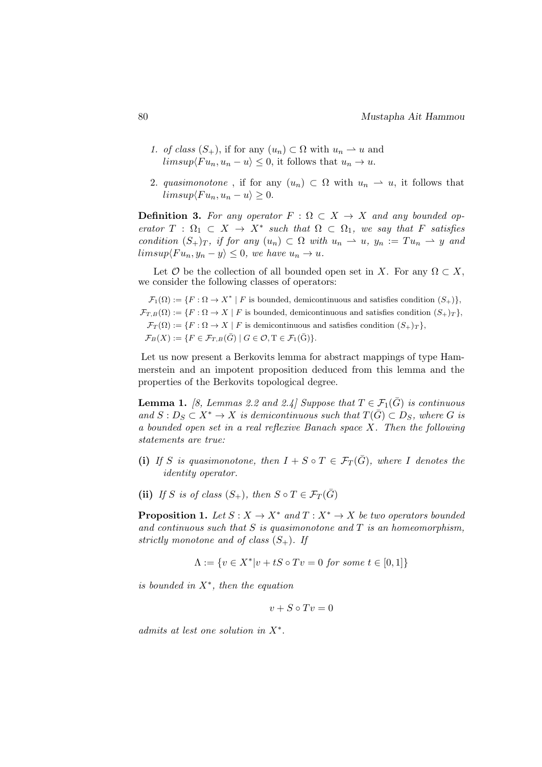- 1. of class  $(S_+)$ , if for any  $(u_n) \subset \Omega$  with  $u_n \to u$  and  $limsup\langle Fu_n, u_n-u\rangle \leq 0$ , it follows that  $u_n \to u$ .
- 2. quasimonotone, if for any  $(u_n) \subset \Omega$  with  $u_n \to u$ , it follows that  $limsup\langle Fu_n, u_n-u\rangle > 0.$

**Definition 3.** For any operator  $F : \Omega \subset X \to X$  and any bounded operator  $T : \Omega_1 \subset X \to X^*$  such that  $\Omega \subset \Omega_1$ , we say that F satisfies condition  $(S_+)_T$ , if for any  $(u_n) \subset \Omega$  with  $u_n \to u$ ,  $y_n := Tu_n \to y$  and  $limsup\langle Fu_n, y_n - y \rangle \leq 0$ , we have  $u_n \to u$ .

Let  $\mathcal O$  be the collection of all bounded open set in X. For any  $\Omega \subset X$ , we consider the following classes of operators:

 $\mathcal{F}_1(\Omega) := \{ F : \Omega \to X^* \mid F \text{ is bounded, a}\}$  demicontinuous and satisfies condition  $(S_+) \}$ ,  $\mathcal{F}_{T,B}(\Omega) := \{F : \Omega \to X \mid F \text{ is bounded, a}\}$  demicontinuous and satisfies condition  $(S_+)_T$ ,  $\mathcal{F}_T(\Omega) := \{ F : \Omega \to X \mid F \text{ is dimension.} \text{ and satisfies condition } (S_+)_T \},$  $\mathcal{F}_B(X) := \{ F \in \mathcal{F}_{T,B}(\bar{G}) \mid G \in \mathcal{O}, T \in \mathcal{F}_1(\bar{G}) \}.$ 

Let us now present a Berkovits lemma for abstract mappings of type Hammerstein and an impotent proposition deduced from this lemma and the properties of the Berkovits topological degree.

**Lemma 1.** [8, Lemmas 2.2 and 2.4] Suppose that  $T \in \mathcal{F}_1(\bar{G})$  is continuous and  $S: D_S \subset X^* \to X$  is demicontinuous such that  $T(\bar{G}) \subset D_S$ , where G is a bounded open set in a real reflexive Banach space X. Then the following statements are true:

- (i) If S is quasimonotone, then  $I + S \circ T \in \mathcal{F}_T(\bar{G})$ , where I denotes the identity operator.
- (ii) If S is of class  $(S_+)$ , then  $S \circ T \in \mathcal{F}_T(\bar{G})$

**Proposition 1.** Let  $S: X \to X^*$  and  $T: X^* \to X$  be two operators bounded and continuous such that  $S$  is quasimonotone and  $T$  is an homeomorphism, strictly monotone and of class  $(S_+)$ . If

$$
\Lambda := \{ v \in X^* | v + tS \circ Tv = 0 \text{ for some } t \in [0, 1] \}
$$

is bounded in  $X^*$ , then the equation

$$
v + S \circ Tv = 0
$$

admits at lest one solution in  $X^*$ .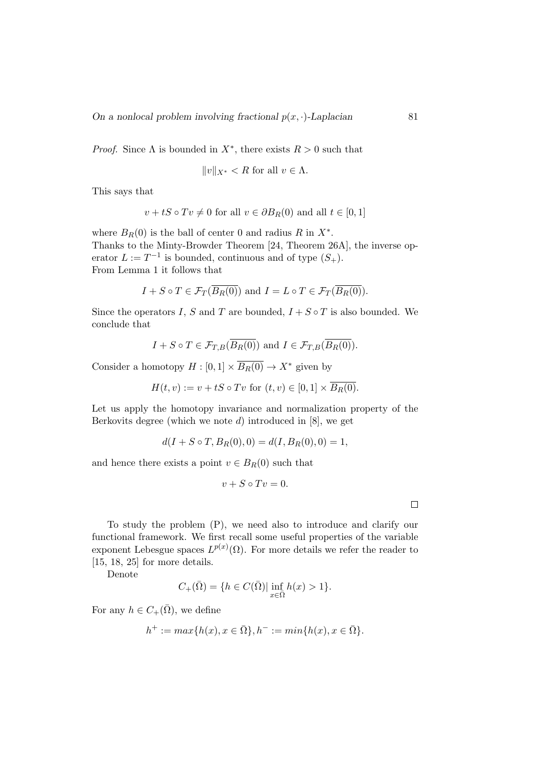*Proof.* Since  $\Lambda$  is bounded in  $X^*$ , there exists  $R > 0$  such that

$$
||v||_{X^*} < R \text{ for all } v \in \Lambda.
$$

This says that

$$
v + tS \circ Tv \neq 0
$$
 for all  $v \in \partial B_R(0)$  and all  $t \in [0, 1]$ 

where  $B_R(0)$  is the ball of center 0 and radius R in  $X^*$ . Thanks to the Minty-Browder Theorem [24, Theorem 26A], the inverse operator  $L := T^{-1}$  is bounded, continuous and of type  $(S_+)$ . From Lemma 1 it follows that

$$
I + S \circ T \in \mathcal{F}_T(\overline{B_R(0)})
$$
 and  $I = L \circ T \in \mathcal{F}_T(\overline{B_R(0)})$ .

Since the operators I, S and T are bounded,  $I + S \circ T$  is also bounded. We conclude that

$$
I + S \circ T \in \mathcal{F}_{T,B}(\overline{B_R(0)})
$$
 and  $I \in \mathcal{F}_{T,B}(\overline{B_R(0)})$ .

Consider a homotopy  $H : [0,1] \times \overline{B_R(0)} \to X^*$  given by

$$
H(t, v) := v + tS \circ Tv \text{ for } (t, v) \in [0, 1] \times \overline{B_R(0)}.
$$

Let us apply the homotopy invariance and normalization property of the Berkovits degree (which we note  $d$ ) introduced in  $[8]$ , we get

$$
d(I + S \circ T, B_R(0), 0) = d(I, B_R(0), 0) = 1,
$$

and hence there exists a point  $v \in B_R(0)$  such that

$$
v + S \circ Tv = 0.
$$

To study the problem (P), we need also to introduce and clarify our functional framework. We first recall some useful properties of the variable exponent Lebesgue spaces  $L^{p(x)}(\Omega)$ . For more details we refer the reader to [15, 18, 25] for more details.

Denote

$$
C_{+}(\bar{\Omega}) = \{ h \in C(\bar{\Omega}) | \inf_{x \in \bar{\Omega}} h(x) > 1 \}.
$$

For any  $h \in C_+(\overline{\Omega})$ , we define

$$
h^+ := \max\{h(x), x \in \overline{\Omega}\}, h^- := \min\{h(x), x \in \overline{\Omega}\}.
$$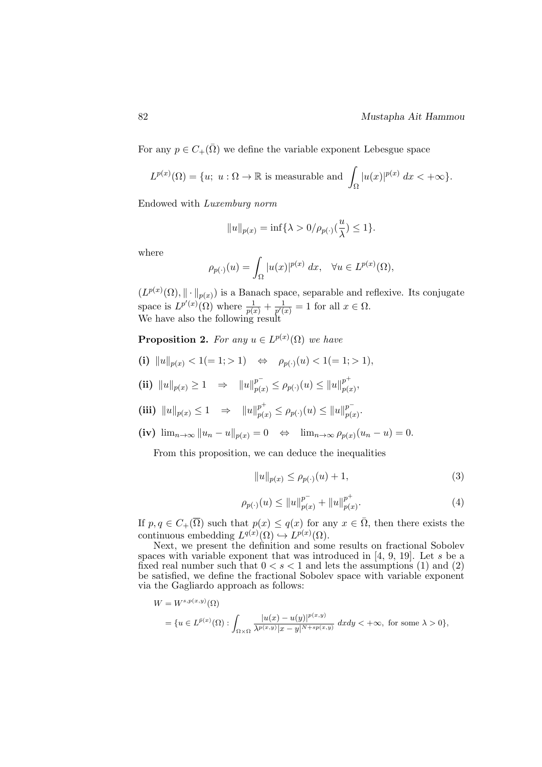For any  $p \in C_+(\overline{\Omega})$  we define the variable exponent Lebesgue space

$$
L^{p(x)}(\Omega) = \{u; \ u: \Omega \to \mathbb{R} \text{ is measurable and } \int_{\Omega} |u(x)|^{p(x)} dx < +\infty \}.
$$

Endowed with Luxemburg norm

$$
||u||_{p(x)} = \inf\{\lambda > 0/\rho_{p(\cdot)}(\frac{u}{\lambda}) \le 1\}.
$$

where

$$
\rho_{p(\cdot)}(u) = \int_{\Omega} |u(x)|^{p(x)} dx, \quad \forall u \in L^{p(x)}(\Omega),
$$

 $(L^{p(x)}(\Omega), \|\cdot\|_{p(x)})$  is a Banach space, separable and reflexive. Its conjugate space is  $L^{p'(x)}(\Omega)$  where  $\frac{1}{p(x)} + \frac{1}{p'(x)}$  $\frac{1}{p'(x)} = 1$  for all  $x \in \Omega$ . We have also the following result

**Proposition 2.** For any  $u \in L^{p(x)}(\Omega)$  we have

(i)  $||u||_{p(x)} < 1 (= 1; > 1) \Leftrightarrow \rho_{p(\cdot)}(u) < 1 (= 1; > 1),$ 

(ii)  $||u||_{p(x)} \ge 1 \Rightarrow ||u||_{p(x)}^{p^-} \le \rho_{p(\cdot)}(u) \le ||u||_{p(x)}^{p^+}$  $_{p(x)}^{p} ,$ 

(iii) 
$$
||u||_{p(x)} \le 1 \Rightarrow ||u||_{p(x)}^{p^+} \le \rho_{p(\cdot)}(u) \le ||u||_{p(x)}^{p^-}.
$$

 $(iv)$   $\lim_{n\to\infty} ||u_n - u||_{p(x)} = 0 \Leftrightarrow \lim_{n\to\infty} \rho_{p(x)}(u_n - u) = 0.$ 

From this proposition, we can deduce the inequalities

$$
||u||_{p(x)} \le \rho_{p(\cdot)}(u) + 1,\tag{3}
$$

$$
\rho_{p(\cdot)}(u) \le ||u||_{p(x)}^{p^-} + ||u||_{p(x)}^{p^+}.
$$
\n(4)

If  $p, q \in C_+(\overline{\Omega})$  such that  $p(x) \leq q(x)$  for any  $x \in \overline{\Omega}$ , then there exists the continuous embedding  $L^{q(x)}(\Omega) \hookrightarrow L^{p(x)}(\Omega)$ .

Next, we present the definition and some results on fractional Sobolev spaces with variable exponent that was introduced in [4, 9, 19]. Let s be a fixed real number such that  $0 < s < 1$  and lets the assumptions (1) and (2) be satisfied, we define the fractional Sobolev space with variable exponent via the Gagliardo approach as follows:

$$
W = W^{s, p(x, y)}(\Omega)
$$
  
=  $\{u \in L^{\bar{p}(x)}(\Omega) : \int_{\Omega \times \Omega} \frac{|u(x) - u(y)|^{p(x, y)}}{\lambda^{p(x, y)} |x - y|^{N + sp(x, y)}} dx dy < +\infty, \text{ for some } \lambda > 0\},\$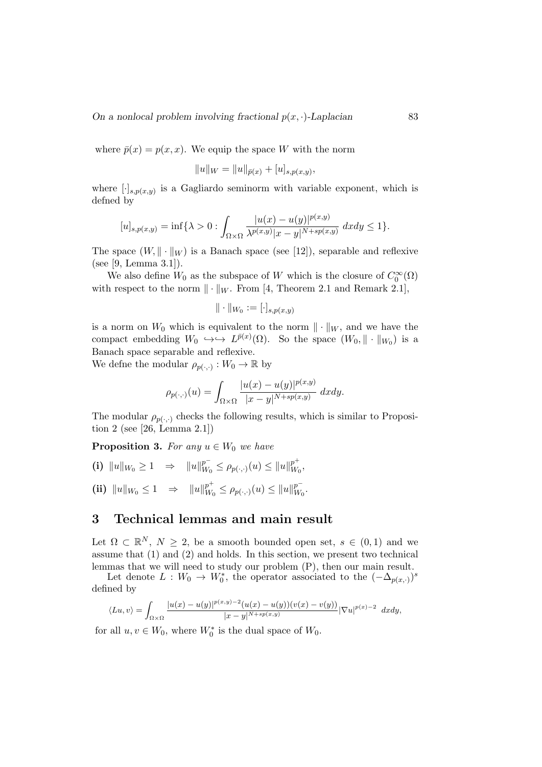where  $\bar{p}(x) = p(x, x)$ . We equip the space W with the norm

$$
||u||_W = ||u||_{\bar{p}(x)} + [u]_{s,p(x,y)},
$$

where  $[\cdot]_{s,p(x,y)}$  is a Gagliardo seminorm with variable exponent, which is defned by

$$
[u]_{s,p(x,y)} = \inf \{ \lambda > 0 : \int_{\Omega \times \Omega} \frac{|u(x) - u(y)|^{p(x,y)}}{\lambda^{p(x,y)}|x - y|^{N + sp(x,y)}} dxdy \le 1 \}.
$$

The space  $(W, \|\cdot\|_W)$  is a Banach space (see [12]), separable and reflexive (see [9, Lemma 3.1]).

We also define  $W_0$  as the subspace of W which is the closure of  $C_0^{\infty}(\Omega)$ with respect to the norm  $\|\cdot\|_W$ . From [4, Theorem 2.1 and Remark 2.1],

$$
\|\cdot\|_{W_0}:=[\cdot]_{s,p(x,y)}
$$

is a norm on  $W_0$  which is equivalent to the norm  $\|\cdot\|_W$ , and we have the compact embedding  $W_0 \leftrightarrow \to L^{\bar{p}(x)}(\Omega)$ . So the space  $(W_0, \|\cdot\|_{W_0})$  is a Banach space separable and reflexive.

We define the modular  $\rho_{p(\cdot,\cdot)} : W_0 \to \mathbb{R}$  by

$$
\rho_{p(\cdot,\cdot)}(u) = \int_{\Omega \times \Omega} \frac{|u(x) - u(y)|^{p(x,y)}}{|x - y|^{N + sp(x,y)}} dx dy.
$$

The modular  $\rho_{p(\cdot,\cdot)}$  checks the following results, which is similar to Proposition 2 (see [26, Lemma 2.1])

**Proposition 3.** For any  $u \in W_0$  we have

(i)  $||u||_{W_0} \ge 1 \Rightarrow ||u||_{W_0}^{p^-}$  $\frac{p^-}{W_0} \leq \rho_{p(\cdot,\cdot)}(u) \leq ||u||_{W_0}^{p^+}$  $^p_{W_0},$ (ii)  $||u||_{W_0} \leq 1 \Rightarrow ||u||_{W_0}^{p^+}$  $w_0^{p^+} \leq \rho_{p(\cdot,\cdot)}(u) \leq ||u||_{W_0}^{p^-}$  $_{W_0}^p.$ 

## 3 Technical lemmas and main result

Let  $\Omega \subset \mathbb{R}^N$ ,  $N \geq 2$ , be a smooth bounded open set,  $s \in (0,1)$  and we assume that (1) and (2) and holds. In this section, we present two technical lemmas that we will need to study our problem (P), then our main result.

Let denote  $L: W_0 \to W_0^*$ , the operator associated to the  $(-\Delta_{p(x, \cdot)})^s$ defined by

$$
\langle Lu, v \rangle = \int_{\Omega \times \Omega} \frac{|u(x) - u(y)|^{p(x,y)-2} (u(x) - u(y))(v(x) - v(y))}{|x - y|^{N + sp(x,y)}} |\nabla u|^{p(x)-2} dx dy,
$$

for all  $u, v \in W_0$ , where  $W_0^*$  is the dual space of  $W_0$ .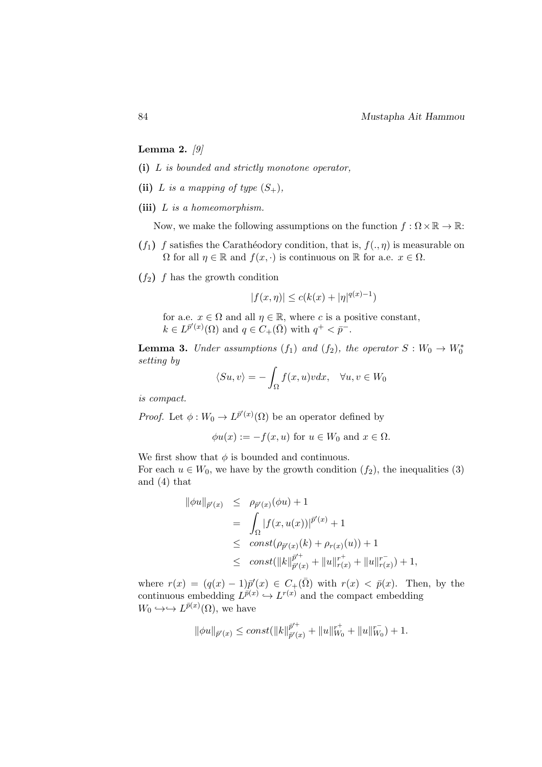Lemma 2.  $[9]$ 

- (i) L is bounded and strictly monotone operator,
- (ii) L is a mapping of type  $(S_+),$
- (iii)  $L$  is a homeomorphism.

Now, we make the following assumptions on the function  $f : \Omega \times \mathbb{R} \to \mathbb{R}$ :

- $(f_1)$  f satisfies the Carathéodory condition, that is,  $f(., \eta)$  is measurable on  $\Omega$  for all  $\eta \in \mathbb{R}$  and  $f(x, \cdot)$  is continuous on  $\mathbb{R}$  for a.e.  $x \in \Omega$ .
- $(f_2)$  f has the growth condition

$$
|f(x, \eta)| \le c(k(x) + |\eta|^{q(x)-1})
$$

for a.e.  $x \in \Omega$  and all  $\eta \in \mathbb{R}$ , where c is a positive constant,  $k \in L^{\bar{p}'(x)}(\Omega)$  and  $q \in C_{+}(\bar{\Omega})$  with  $q^{+} < \bar{p}^{-}$ .

**Lemma 3.** Under assumptions  $(f_1)$  and  $(f_2)$ , the operator  $S: W_0 \to W_0^*$ setting by

$$
\langle Su, v \rangle = -\int_{\Omega} f(x, u)v dx, \quad \forall u, v \in W_0
$$

is compact.

*Proof.* Let  $\phi: W_0 \to L^{\bar{p}'(x)}(\Omega)$  be an operator defined by

$$
\phi u(x) := -f(x, u) \text{ for } u \in W_0 \text{ and } x \in \Omega.
$$

We first show that  $\phi$  is bounded and continuous.

For each  $u \in W_0$ , we have by the growth condition  $(f_2)$ , the inequalities (3) and (4) that

$$
\|\phi u\|_{\bar{p}'(x)} \leq \rho_{\bar{p}'(x)}(\phi u) + 1
$$
  
= 
$$
\int_{\Omega} |f(x, u(x))|^{p'(x)} + 1
$$
  

$$
\leq \text{const}(\rho_{\bar{p}'(x)}(k) + \rho_{r(x)}(u)) + 1
$$
  

$$
\leq \text{const}(\|k\|_{\bar{p}'(x)}^{\bar{p}'} + \|u\|_{r(x)}^{r^+} + \|u\|_{r(x)}^{r^-}) + 1,
$$

where  $r(x) = (q(x) - 1)\bar{p}'(x) \in C_+(\bar{\Omega})$  with  $r(x) < \bar{p}(x)$ . Then, by the continuous embedding  $L^{\bar{p}(x)} \hookrightarrow L^{r(x)}$  and the compact embedding  $W_0 \hookrightarrow L^{\bar{p}(x)}(\Omega)$ , we have

$$
\|\phi u\|_{\bar{p}'(x)}\leq const(\|k\|_{\bar{p}'(x)}^{\bar{p}'+}+\|u\|_{W_0}^{r+}+\|u\|_{W_0}^{r^-})+1.
$$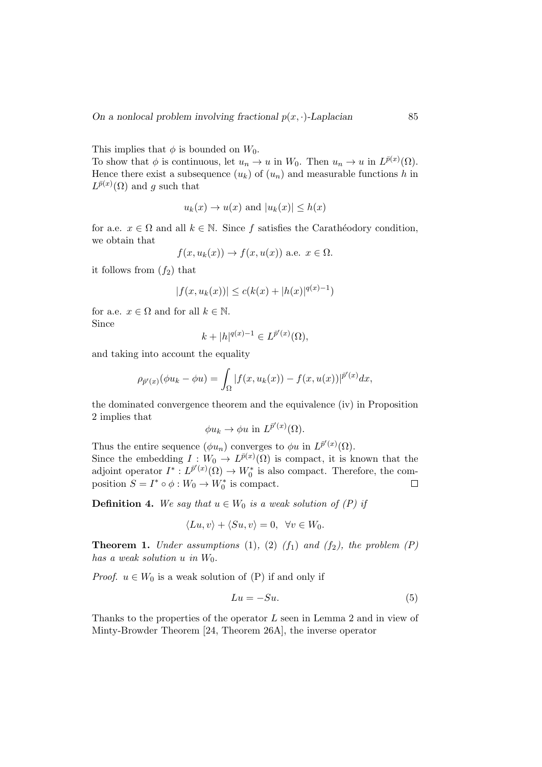This implies that  $\phi$  is bounded on  $W_0$ .

To show that  $\phi$  is continuous, let  $u_n \to u$  in  $W_0$ . Then  $u_n \to u$  in  $L^{\bar{p}(x)}(\Omega)$ . Hence there exist a subsequence  $(u_k)$  of  $(u_n)$  and measurable functions h in  $L^{\bar{p}(x)}(\Omega)$  and g such that

$$
u_k(x) \to u(x)
$$
 and  $|u_k(x)| \leq h(x)$ 

for a.e.  $x \in \Omega$  and all  $k \in \mathbb{N}$ . Since f satisfies the Carathéodory condition, we obtain that

$$
f(x, u_k(x)) \to f(x, u(x))
$$
 a.e.  $x \in \Omega$ .

it follows from  $(f_2)$  that

$$
|f(x, u_k(x))| \le c(k(x) + |h(x)|^{q(x)-1})
$$

for a.e.  $x \in \Omega$  and for all  $k \in \mathbb{N}$ . Since

$$
k + |h|^{q(x)-1} \in L^{\bar{p}'(x)}(\Omega),
$$

and taking into account the equality

$$
\rho_{\bar{p}'(x)}(\phi u_k - \phi u) = \int_{\Omega} |f(x, u_k(x)) - f(x, u(x))|^{p'(x)} dx,
$$

the dominated convergence theorem and the equivalence (iv) in Proposition 2 implies that

$$
\phi u_k \to \phi u
$$
 in  $L^{\bar{p}'(x)}(\Omega)$ .

Thus the entire sequence  $(\phi u_n)$  converges to  $\phi u$  in  $L^{\bar{p}'(x)}(\Omega)$ . Since the embedding  $I: W_0 \to L^{\bar{p}(x)}(\Omega)$  is compact, it is known that the adjoint operator  $I^*: L^{\bar{p}'(x)}(\Omega) \to W_0^*$  is also compact. Therefore, the composition  $S = I^* \circ \phi : W_0 \to W_0^*$  is compact.  $\Box$ 

**Definition 4.** We say that  $u \in W_0$  is a weak solution of  $(P)$  if

$$
\langle Lu, v \rangle + \langle Su, v \rangle = 0, \quad \forall v \in W_0.
$$

**Theorem 1.** Under assumptions (1), (2)  $(f_1)$  and  $(f_2)$ , the problem  $(P)$ has a weak solution  $u$  in  $W_0$ .

*Proof.*  $u \in W_0$  is a weak solution of (P) if and only if

$$
Lu = -Su.\tag{5}
$$

Thanks to the properties of the operator L seen in Lemma 2 and in view of Minty-Browder Theorem [24, Theorem 26A], the inverse operator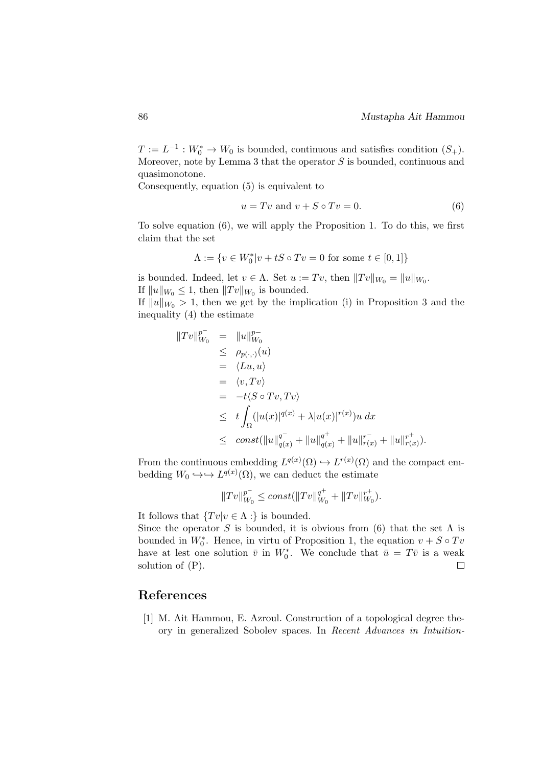$T := L^{-1} : W_0^* \to W_0$  is bounded, continuous and satisfies condition  $(S_+)$ . Moreover, note by Lemma 3 that the operator  $S$  is bounded, continuous and quasimonotone.

Consequently, equation (5) is equivalent to

$$
u = Tv \text{ and } v + S \circ Tv = 0. \tag{6}
$$

To solve equation (6), we will apply the Proposition 1. To do this, we first claim that the set

$$
\Lambda := \{ v \in W_0^* | v + tS \circ Tv = 0 \text{ for some } t \in [0,1] \}
$$

is bounded. Indeed, let  $v \in \Lambda$ . Set  $u := Tv$ , then  $||Tv||_{W_0} = ||u||_{W_0}$ . If  $||u||_{W_0} \leq 1$ , then  $||Tv||_{W_0}$  is bounded.

If  $||u||_{W_0} > 1$ , then we get by the implication (i) in Proposition 3 and the inequality (4) the estimate

$$
||Tv||_{W_0}^{p^-} = ||u||_{W_0}^{p^-}
$$
  
\n
$$
\leq \rho_{p(\cdot,\cdot)}(u)
$$
  
\n
$$
= \langle Lu, u \rangle
$$
  
\n
$$
= \langle v, Tv \rangle
$$
  
\n
$$
\leq t \int_{\Omega} (|u(x)|^{q(x)} + \lambda |u(x)|^{r(x)}) u \, dx
$$
  
\n
$$
\leq \operatorname{const}(||u||_{q(x)}^{q^-} + ||u||_{q(x)}^{q^+} + ||u||_{r(x)}^{r^+} + ||u||_{r(x)}^{r^+}).
$$

From the continuous embedding  $L^{q(x)}(\Omega) \hookrightarrow L^{r(x)}(\Omega)$  and the compact embedding  $W_0 \hookrightarrow \hookrightarrow L^{q(x)}(\Omega)$ , we can deduct the estimate

$$
||Tv||_{W_0}^{p^-}\leq const(||Tv||_{W_0}^{q^+}+||Tv||_{W_0}^{r^+}).
$$

It follows that  $\{Tv|v \in \Lambda : \}$  is bounded.

Since the operator S is bounded, it is obvious from (6) that the set  $\Lambda$  is bounded in  $W_0^*$ . Hence, in virtu of Proposition 1, the equation  $v + S \circ Tv$ have at lest one solution  $\bar{v}$  in  $W_0^*$ . We conclude that  $\bar{u} = T\bar{v}$  is a weak solution of (P).  $\Box$ 

### References

[1] M. Ait Hammou, E. Azroul. Construction of a topological degree theory in generalized Sobolev spaces. In Recent Advances in Intuition-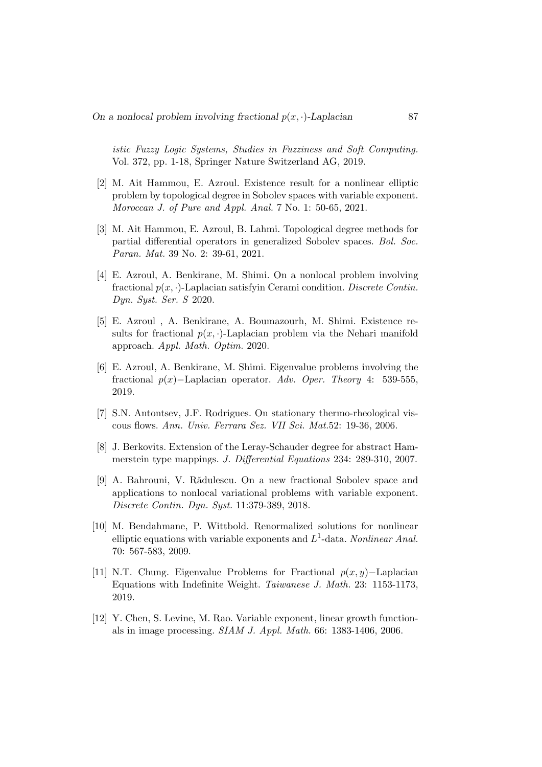istic Fuzzy Logic Systems, Studies in Fuzziness and Soft Computing. Vol. 372, pp. 1-18, Springer Nature Switzerland AG, 2019.

- [2] M. Ait Hammou, E. Azroul. Existence result for a nonlinear elliptic problem by topological degree in Sobolev spaces with variable exponent. Moroccan J. of Pure and Appl. Anal. 7 No. 1: 50-65, 2021.
- [3] M. Ait Hammou, E. Azroul, B. Lahmi. Topological degree methods for partial differential operators in generalized Sobolev spaces. Bol. Soc. Paran. Mat. 39 No. 2: 39-61, 2021.
- [4] E. Azroul, A. Benkirane, M. Shimi. On a nonlocal problem involving fractional  $p(x, \cdot)$ -Laplacian satisfyin Cerami condition. Discrete Contin. Dyn. Syst. Ser. S 2020.
- [5] E. Azroul , A. Benkirane, A. Boumazourh, M. Shimi. Existence results for fractional  $p(x, \cdot)$ -Laplacian problem via the Nehari manifold approach. Appl. Math. Optim. 2020.
- [6] E. Azroul, A. Benkirane, M. Shimi. Eigenvalue problems involving the fractional  $p(x)$ –Laplacian operator. Adv. Oper. Theory 4: 539-555, 2019.
- [7] S.N. Antontsev, J.F. Rodrigues. On stationary thermo-rheological viscous flows. Ann. Univ. Ferrara Sez. VII Sci. Mat.52: 19-36, 2006.
- [8] J. Berkovits. Extension of the Leray-Schauder degree for abstract Hammerstein type mappings. J. Differential Equations 234: 289-310, 2007.
- [9] A. Bahrouni, V. Rădulescu. On a new fractional Sobolev space and applications to nonlocal variational problems with variable exponent. Discrete Contin. Dyn. Syst. 11:379-389, 2018.
- [10] M. Bendahmane, P. Wittbold. Renormalized solutions for nonlinear elliptic equations with variable exponents and  $L^1$ -data. Nonlinear Anal. 70: 567-583, 2009.
- [11] N.T. Chung. Eigenvalue Problems for Fractional  $p(x, y)$ –Laplacian Equations with Indefinite Weight. Taiwanese J. Math. 23: 1153-1173, 2019.
- [12] Y. Chen, S. Levine, M. Rao. Variable exponent, linear growth functionals in image processing. SIAM J. Appl. Math. 66: 1383-1406, 2006.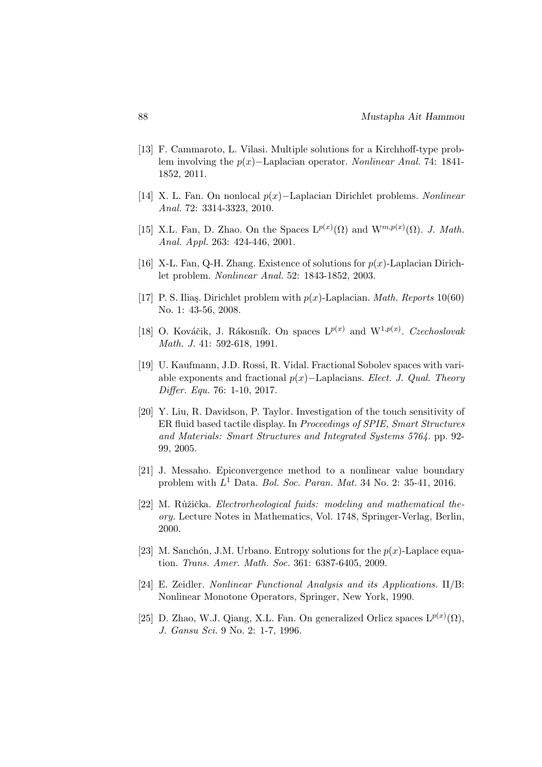- [13] F. Cammaroto, L. Vilasi. Multiple solutions for a Kirchhoff-type problem involving the p(x)−Laplacian operator. Nonlinear Anal. 74: 1841- 1852, 2011.
- [14] X. L. Fan. On nonlocal p(x)−Laplacian Dirichlet problems. Nonlinear Anal. 72: 3314-3323, 2010.
- [15] X.L. Fan, D. Zhao. On the Spaces  $L^{p(x)}(\Omega)$  and  $W^{m,p(x)}(\Omega)$ . J. Math. Anal. Appl. 263: 424-446, 2001.
- [16] X-L. Fan, Q-H. Zhang. Existence of solutions for  $p(x)$ -Laplacian Dirichlet problem. Nonlinear Anal. 52: 1843-1852, 2003.
- [17] P. S. Iliaş. Dirichlet problem with  $p(x)$ -Laplacian. *Math. Reports* 10(60) No. 1: 43-56, 2008.
- [18] O. Kováčik, J. Rákosník. On spaces  $L^{p(x)}$  and  $W^{1,p(x)}$ . Czechoslovak Math. J. 41: 592-618, 1991.
- [19] U. Kaufmann, J.D. Rossi, R. Vidal. Fractional Sobolev spaces with variable exponents and fractional  $p(x)$ –Laplacians. Elect. J. Qual. Theory Differ. Equ. 76: 1-10, 2017.
- [20] Y. Liu, R. Davidson, P. Taylor. Investigation of the touch sensitivity of ER fluid based tactile display. In Proceedings of SPIE, Smart Structures and Materials: Smart Structures and Integrated Systems 5764. pp. 92- 99, 2005.
- [21] J. Messaho. Epiconvergence method to a nonlinear value boundary problem with  $L^1$  Data. Bol. Soc. Paran. Mat. 34 No. 2: 35-41, 2016.
- [22] M. Ružička. Electrorheological fuids: modeling and mathematical theory. Lecture Notes in Mathematics, Vol. 1748, Springer-Verlag, Berlin, 2000.
- [23] M. Sanchón, J.M. Urbano. Entropy solutions for the  $p(x)$ -Laplace equation. Trans. Amer. Math. Soc. 361: 6387-6405, 2009.
- [24] E. Zeidler. Nonlinear Functional Analysis and its Applications. II/B: Nonlinear Monotone Operators, Springer, New York, 1990.
- [25] D. Zhao, W.J. Qiang, X.L. Fan. On generalized Orlicz spaces  $L^{p(x)}(\Omega)$ , J. Gansu Sci. 9 No. 2: 1-7, 1996.